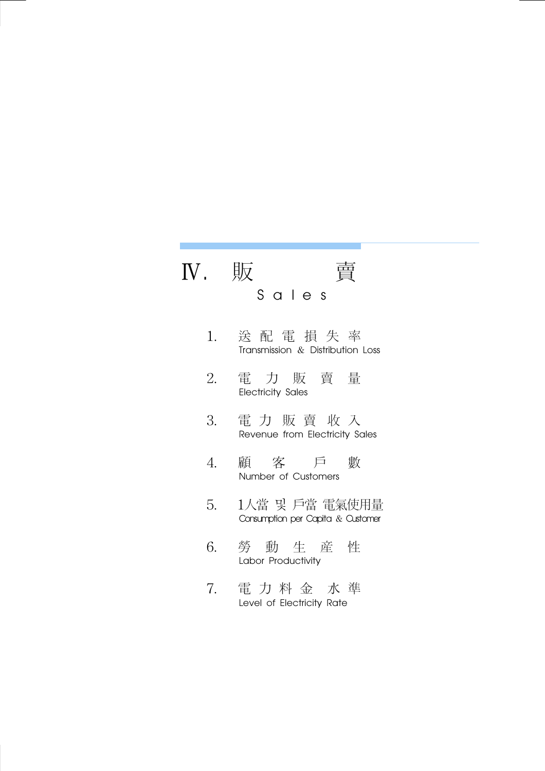## Ⅳ. 販 賣 S a l e s

- 1. 送 配 電 損 失 率 Transmission & Distribution Loss
- 2. 電 力 販 賣 量 Electricity Sales
- 3. 電 力 販 賣 收 入 Revenue from Electricity Sales
- 4. 顧 客 戶 數 Number of Customers
- 5. 1人當 및 戶當 電氣使用量 Consumption per Capita & Customer
- 6. 勞 動 生 産 性 Labor Productivity
- 7. 電 力 料 金 水 準 Level of Electricity Rate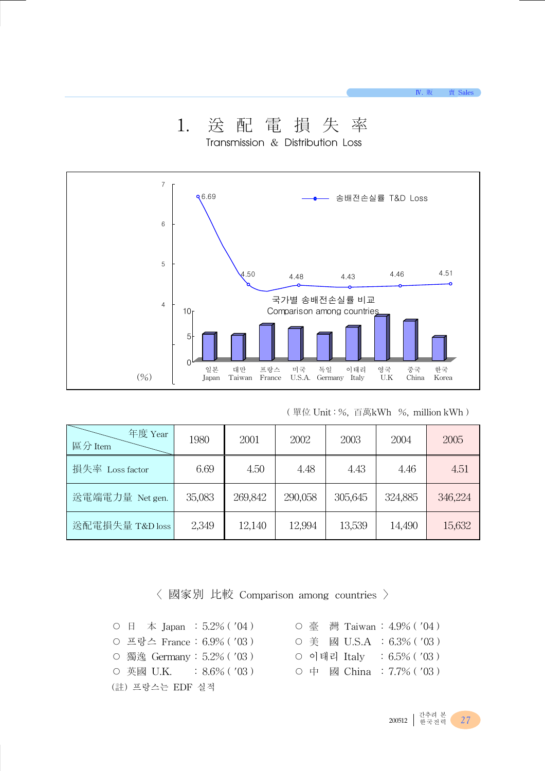

1. 送 配 電 損 失 率

Transmission & Distribution Loss

|  |  | (單位 Unit:%,百萬kWh  %,million kWh ) |
|--|--|-----------------------------------|
|--|--|-----------------------------------|

Ⅳ. 販 賣 Sales

| 年度 Year<br>區分 Item | 1980   | 2001    | 2002    | 2003    | 2004    | 2005    |
|--------------------|--------|---------|---------|---------|---------|---------|
| 損失率 Loss factor    | 6.69   | 4.50    | 4.48    | 4.43    | 4.46    | 4.51    |
| 送電端電力量 Net gen.    | 35,083 | 269,842 | 290,058 | 305,645 | 324,885 | 346,224 |
| 送配電損失量 T&D loss    | 2,349  | 12,140  | 12,994  | 13,539  | 14,490  | 15,632  |

〈 國家別 比較 Comparison among countries 〉

 $\circ$  日 本 Japan : 5.2% ( '04) ○ 프랑스 France : 6.9% ( '03 ) ○ 獨逸 Germany : 5.2% ( '03 ) ○ 英國 U.K. : 8.6% ( '03) (註) 프랑스는 EDF 실적

|  |             | ○ 臺 灣 Taiwan:4.9%( '04 )   |
|--|-------------|----------------------------|
|  |             | O 美 國 U.S.A :6.3%('03)     |
|  | ○ 이태리 Italv | $: 6.5\%$ ( $'03$ )        |
|  |             | O 中 國 China : 7.7% ( '03 ) |

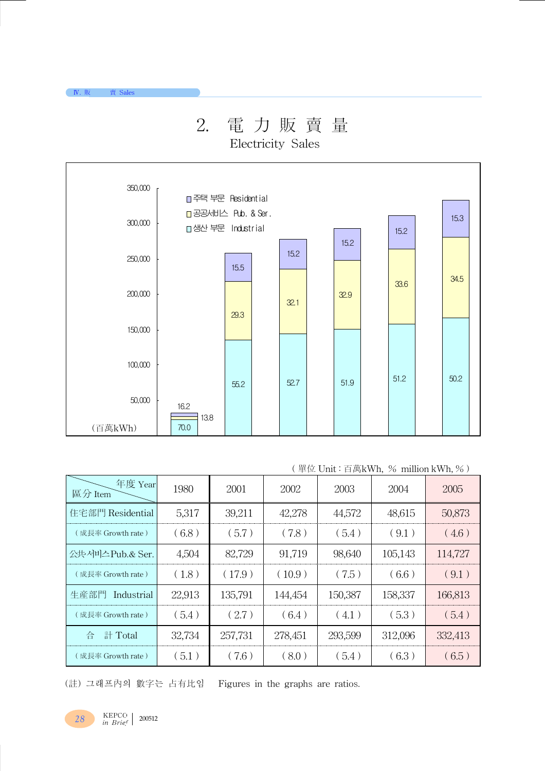# 2. 電 力 販 賣 量

Electricity Sales



### ( 單位 Unit : 百萬kWh, % million kWh, % )

| 年度 Year<br>區分 Item | 1980   | 2001    | 2002    | 2003    | 2004    | 2005    |
|--------------------|--------|---------|---------|---------|---------|---------|
| 住宅部門 Residential   | 5,317  | 39,211  | 42,278  | 44,572  | 48,615  | 50,873  |
| (成長率 Growth rate)  | (6.8)  | (5.7)   | (7.8)   | (5.4)   | (9.1)   | (4.6)   |
| 公共 서비스 Pub.& Ser.  | 4,504  | 82,729  | 91,719  | 98,640  | 105,143 | 114,727 |
| (成長率 Growth rate)  | (1.8)  | (17.9)  | (10.9)  | (7.5)   | (6.6)   | (9.1)   |
| 生産部門<br>Industrial | 22,913 | 135,791 | 144,454 | 150,387 | 158,337 | 166,813 |
| (成長率 Growth rate)  | (5.4)  | (2.7)   | (6.4)   | (4.1)   | (5.3)   | (5.4)   |
| 計 Total<br>습       | 32,734 | 257,731 | 278,451 | 293,599 | 312,096 | 332,413 |
| (成長率 Growth rate)  | (5.1)  | (7.6)   | (8.0)   | (5.4)   | (6.3)   | (6.5)   |

(註) 그래프內의 數字는 占有比임 Figures in the graphs are ratios.

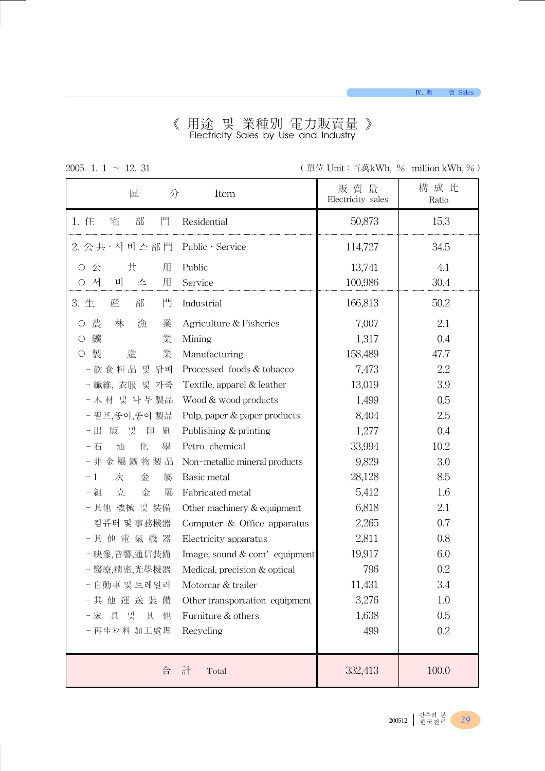#### 《 用途 및 業種別 電力販賣量 》 Electricity Sales by Use and Industry

2005. 1. 1 ∼ 12. 31 ( 單位 Unit : 百萬kWh, % million kWh, %)

| 區<br>分                             | Item                            | 販賣量<br>Electricity sales | 構 成 比<br>Ratio |
|------------------------------------|---------------------------------|--------------------------|----------------|
| 部<br>門<br>1. 住<br>宅                | Residential                     | 50,873                   | 15.3           |
| 2. 公共· 서 비 스 部 門                   | Public · Service                | 114,727                  | 34.5           |
| 公<br>共<br>用<br>O                   | Public                          | 13,741                   | 4.1            |
| 서<br>用<br>비<br>О<br>스              | Service                         | 100,986                  | 30.4           |
| 門<br>部<br>3. 生<br>産                | Industrial                      | 166,813                  | 50.2           |
| 農<br>林<br>漁<br>業<br>O              | Agriculture & Fisheries         | 7,007                    | 2.1            |
| 鑛<br>業<br>О                        | Mining                          | 1,317                    | 0.4            |
| 製<br>造<br>業<br>$\circlearrowright$ | Manufacturing                   | 158,489                  | 47.7           |
| - 飲食料品 및 담배                        | Processed foods & tobacco       | 7,473                    | 2.2            |
| - 纖維, 衣服 및 가죽                      | Textile, apparel & leather      | 13,019                   | 3.9            |
| - 木材 및 나무 製品                       | Wood & wood products            | 1,499                    | 0.5            |
| - 펄프,종이,종이 製品                      | Pulp, paper & paper products    | 8,404                    | 2.5            |
| 및<br>- 出<br>版<br>印<br>刷            | Publishing & printing           | 1,277                    | 0.4            |
| 化<br>- 石<br>油<br>學                 | Petro-chemical                  | 33,994                   | 10.2           |
| - 非金屬鑛物製品                          | Non-metallic mineral products   | 9,829                    | 3.0            |
| 金<br>$-1$<br>次<br>屬                | Basic metal                     | 28,128                   | 8.5            |
| - 組<br>立<br>金<br>屬                 | Fabricated metal                | 5,412                    | 1.6            |
| - 其他 機械 및 裝備                       | Other machinery & equipment     | 6,818                    | 2.1            |
| - 컴퓨터 및 事務機器                       | Computer $&$ Office apparatus   | 2,265                    | 0.7            |
| - 其 他 電 氣 機 器                      | Electricity apparatus           | 2,811                    | 0.8            |
| - 映像,音響,通信裝備                       | Image, sound $& com'$ equipment | 19,917                   | 6.0            |
| - 醫療,精密,光學機器                       | Medical, precision & optical    | 796                      | 0.2            |
| - 自動車 및 트레일러                       | Motorcar & trailer              | 11,431                   | 3.4            |
| - 其 他 運 送 裝 備                      | Other transportation equipment  | 3,276                    | 1.0            |
| 具<br>및<br>其<br>- 家<br>他            | Furniture & others              | 1,638                    | 0.5            |
| - 再生材料 加工處理                        | Recycling                       | 499                      | 0.2            |
| 合                                  | 計<br>Total                      | 332,413                  | 100.0          |

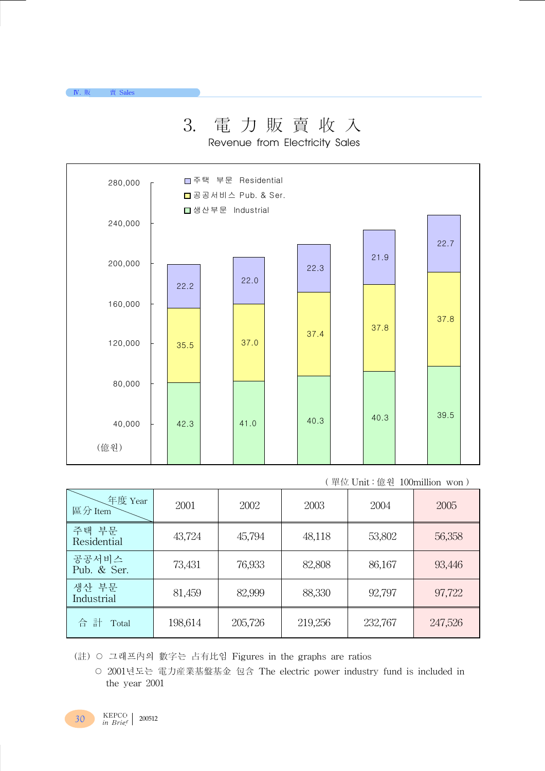# 3. 電 力 販 賣 收 入

Revenue from Electricity Sales



( 單位 Unit : 億원 100million won )

| 年度 Year<br>區分 Item   | 2001    | 2002    | 2003    | 2004    | 2005    |
|----------------------|---------|---------|---------|---------|---------|
| 주택 부문<br>Residential | 43,724  | 45,794  | 48,118  | 53,802  | 56,358  |
| 공공서비스<br>Pub. & Ser. | 73,431  | 76,933  | 82,808  | 86,167  | 93,446  |
| 생산 부문<br>Industrial  | 81,459  | 82,999  | 88,330  | 92,797  | 97,722  |
| 計<br>合<br>Total      | 198,614 | 205,726 | 219,256 | 232,767 | 247,526 |

(註) ○ 그래프內의 數字는 占有比임 Figures in the graphs are ratios

○ 2001년도는 電力産業基盤基金 包含 The electric power industry fund is included in the year 2001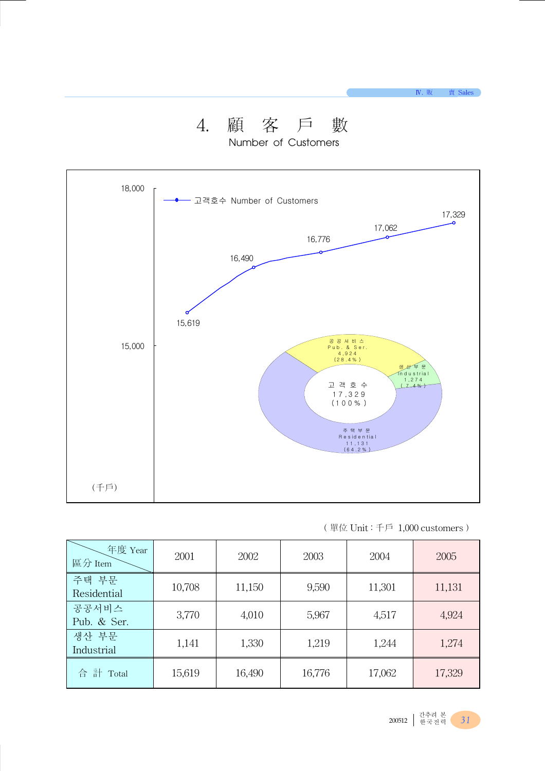# 4. 顧 客 戶 數

Number of Customers



#### ( 單位 Unit : 千戶 1,000 customers )

| 年度 Year<br>區分 Item   | 2001   | 2002   | 2003   | 2004   | 2005   |
|----------------------|--------|--------|--------|--------|--------|
| 주택 부문<br>Residential | 10,708 | 11,150 | 9,590  | 11,301 | 11,131 |
| 공공서비스<br>Pub. & Ser. | 3,770  | 4,010  | 5,967  | 4,517  | 4,924  |
| 생산 부문<br>Industrial  | 1,141  | 1,330  | 1,219  | 1,244  | 1,274  |
| 合 計 Total            | 15,619 | 16,490 | 16,776 | 17,062 | 17,329 |

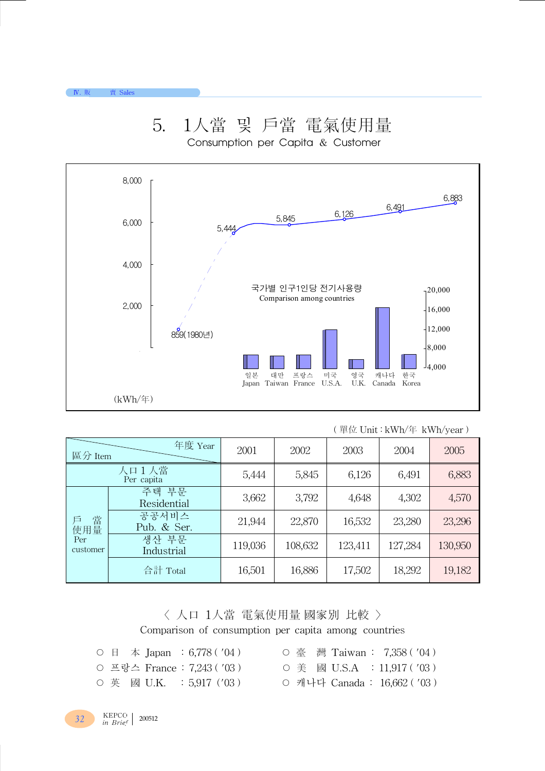$N.$ 



### 5. 1人當 및 戶當 電氣使用量 Consumption per Capita & Customer

|  |  |  |  | (單位 Unit:kWh/年 kWh/year) |  |
|--|--|--|--|--------------------------|--|
|--|--|--|--|--------------------------|--|

| 區分 Item                          | 年度 Year              | 2001    | 2002    | 2003    | 2004    | 2005    |
|----------------------------------|----------------------|---------|---------|---------|---------|---------|
|                                  | 人口1人當<br>Per capita  | 5,444   | 5,845   | 6,126   | 6,491   | 6,883   |
|                                  | 주택 부문<br>Residential | 3,662   | 3,792   | 4,648   | 4,302   | 4,570   |
| 當<br>戶<br>使用量<br>Per<br>customer | 공공서비스<br>Pub. & Ser. | 21,944  | 22,870  | 16,532  | 23,280  | 23,296  |
|                                  | 생산 부문<br>Industrial  | 119,036 | 108,632 | 123,411 | 127,284 | 130,950 |
|                                  | 合計 Total             | 16,501  | 16,886  | 17,502  | 18,292  | 19,182  |

〈 人口 1人當 電氣使用量 國家別 比較 〉 Comparison of consumption per capita among countries

- 
- 英 國 U.K. : 5,917 ('03) 캐나다 Canada : 16,662 ('03)
- 日 本 Japan : 6,778 ( '04 ) 臺 灣 Taiwan : 7,358 ( '04 ) ○ 프랑스 France : 7,243 ( '03) ○ 美 國 U.S.A : 11,917 ( '03)

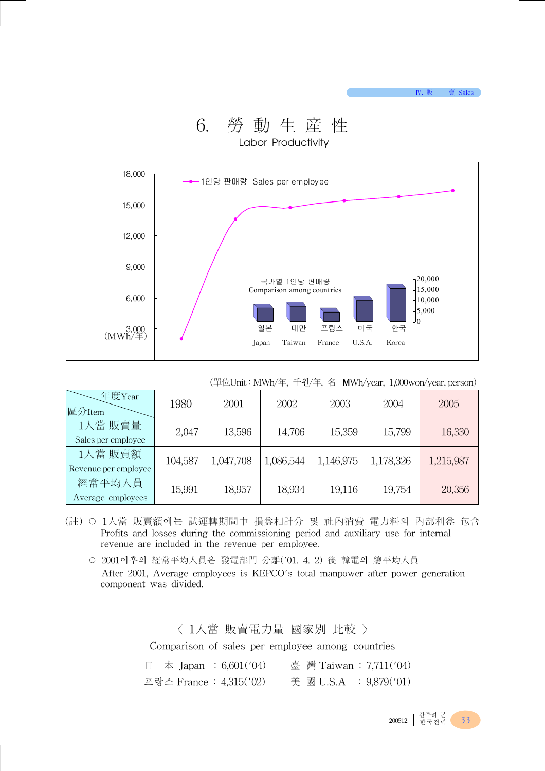Ⅳ. 販 賣 Sales

### 6. 勞 動 生 産 性 Labor Productivity



(單位Unit : MWh/年, 千원/年, 名 MWh/year, 1,000won/year, person)

| 年度Year<br>區分Item                | 1980    | 2001      | 2002      | 2003      | 2004      | 2005      |
|---------------------------------|---------|-----------|-----------|-----------|-----------|-----------|
| 1人當 販賣量<br>Sales per employee   | 2,047   | 13,596    | 14,706    | 15,359    | 15,799    | 16,330    |
| 1人當 販賣額<br>Revenue per employee | 104,587 | 1,047,708 | 1,086,544 | 1,146,975 | 1,178,326 | 1,215,987 |
| 經常平均人員<br>Average employees     | 15,991  | 18,957    | 18,934    | 19,116    | 19,754    | 20,356    |

- (註) 1人當 販賣額에는 試運轉期間中 損益相計分 및 社內消費 電力料의 內部利益 包含 Profits and losses during the commissioning period and auxiliary use for internal revenue are included in the revenue per employee.
	- 2001이후의 經常平均人員은 發電部門 分離('01. 4. 2) 後 韓電의 總平均人員 After 2001, Average employees is KEPCO's total manpower after power generation component was divided.

〈 1人當 販賣電力量 國家別 比較 〉 Comparison of sales per employee among countries

| 日 本 Japan : 6,601('04)  | 臺 灣 Taiwan: 7,711('04) |
|-------------------------|------------------------|
| 프랑스 France : 4,315('02) | 美 國 U.S.A : 9,879('01) |